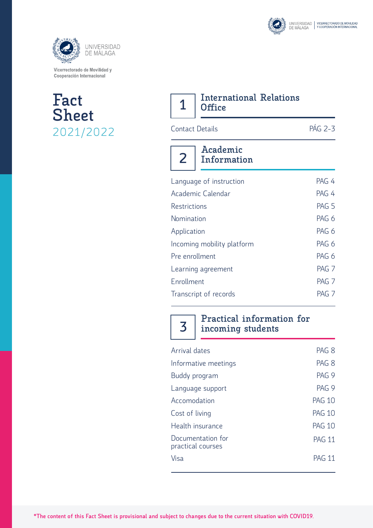





| 7 International Relations |
|---------------------------|
| $1  $ Office              |

Contact Details PÁG 2-3

| Language of instruction    | PAG 4            |
|----------------------------|------------------|
| Academic Calendar          | PAG 4            |
| <b>Restrictions</b>        | PAG <sub>5</sub> |
| Nomination                 | PAG 6            |
| Application                | PAG 6            |
| Incoming mobility platform | PAG 6            |
| Pre enrollment             | PAG 6            |
| Learning agreement         | PAG <sub>7</sub> |
| Enrollment                 | PAG <sub>7</sub> |
| Transcript of records      | PAG <sub>7</sub> |
|                            |                  |

**3**

**Practical information for incoming students**

| Arrival dates                          | PAG <sub>8</sub> |
|----------------------------------------|------------------|
| Informative meetings                   | PAG <sub>8</sub> |
| Buddy program                          | PAG 9            |
| Language support                       | PAG 9            |
| Accomodation                           | <b>PAG 10</b>    |
| Cost of living                         | <b>PAG 10</b>    |
| Health insurance                       | <b>PAG 10</b>    |
| Documentation for<br>practical courses | <b>PAG 11</b>    |
| Visa                                   | <b>PAG 11</b>    |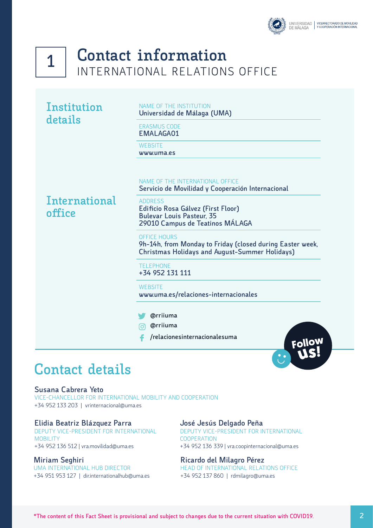



### **Contact information** INTERNATIONAL RELATIONS OFFICE

| Institution |
|-------------|
| details     |

NAME OF THE INSTITUTION **Universidad de Málaga (UMA)**

ERASMUS CODE **EMALAGA01**

**WEBSITE** 

**www.uma.es**

#### NAME OF THE INTERNATIONAL OFFICE

**Servicio de Movilidad y Cooperación Internacional**

**International office**

#### ADDRESS

**Edificio Rosa Gálvez (First Floor) Bulevar Louis Pasteur, 35 29010 Campus de Teatinos MÁLAGA**

#### OFFICE HOURS

**9h-14h, from Monday to Friday (closed during Easter week, Christmas Holidays and August-Summer Holidays)**

#### TELEPHONE

**+34 952 131 111**

#### **WEBSITE**

**www.uma.es/relaciones-internacionales**

#### **@rriiuma**

**@rriiuma**

**/relacionesinternacionalesuma**



#### **Susana Cabrera Yeto**

VICE-CHANCELLOR FOR INTERNATIONAL MOBILITY AND COOPERATION +34 952 133 203 | vrinternacional@uma.es

#### **Elidia Beatriz Blázquez Parra**

DEPUTY VICE-PRESIDENT FOR INTERNATIONAL MOBILITY +34 952 136 512 | vra.movilidad@uma.es

#### **Miriam Seghiri**

UMA INTERNATIONAL HUB DIRECTOR +34 951 953 127 | dir.internationalhub@uma.es

#### **José Jesús Delgado Peña**

DEPUTY VICE-PRESIDENT FOR INTERNATIONAL **COOPERATION** +34 952 136 339 | vra.coopinternacional@uma.es

#### **Ricardo del Milagro Pérez**

HEAD OF INTERNATIONAL RELATIONS OFFICE +34 952 137 860 | rdmilagro@uma.es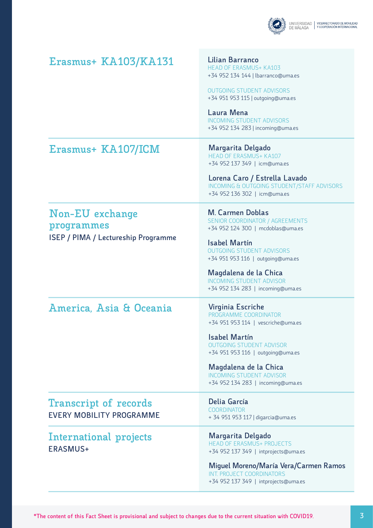

### **Erasmus+ KA103/KA131**

**Lilian Barranco** HEAD OF ERASMUS+ KA103 +34 952 134 144 | lbarranco@uma.es

OUTGOING STUDENT ADVISORS +34 951 953 115 | outgoing@uma.es

**Laura Mena** INCOMING STUDENT ADVISORS +34 952 134 283 | incoming@uma.es

### **Erasmus+ KA107/ICM**

**Margarita Delgado** HEAD OF ERASMUS+ KA107 +34 952 137 349 | icm@uma.es

**Lorena Caro / Estrella Lavado** INCOMING & OUTGOING STUDENT/STAFF ADVISORS +34 952 136 302 | icm@uma.es

### **Non-EU exchange programmes ISEP / PIMA / Lectureship Programme**

**M. Carmen Doblas** SENIOR COORDINATOR / AGREEMENTS +34 952 124 300 | mcdoblas@uma.es

**Isabel Martín** OUTGOING STUDENT ADVISORS +34 951 953 116 | outgoing@uma.es

#### **Magdalena de la Chica** INCOMING STUDENT ADVISOR +34 952 134 283 | incoming@uma.es

### **America, Asia & Oceania**

**Virginia Escriche** PROGRAMME COORDINATOR +34 951 953 114 | vescriche@uma.es

**Isabel Martín** OUTGOING STUDENT ADVISOR +34 951 953 116 | outgoing@uma.es

**Magdalena de la Chica** INCOMING STUDENT ADVISOR +34 952 134 283 | incoming@uma.es

**Transcript of records EVERY MOBILITY PROGRAMME**

**International projects ERASMUS+** 

**Delia García COORDINATOR** + 34 951 953 117 | digarcia@uma.es

**Margarita Delgado** HEAD OF ERASMUS+ PROJECTS +34 952 137 349 | intprojects@uma.es

**Miguel Moreno/María Vera/Carmen Ramos** INT. PROJECT COORDINATORS +34 952 137 349 | intprojects@uma.es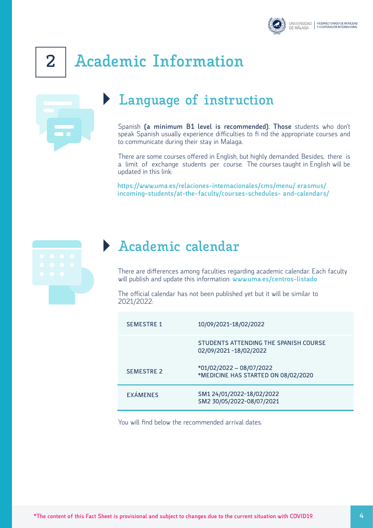

# **2 Academic Information**

## **Language of instruction**

Spanish **(a minimum B1 level is recommended). Those** students who don't speak Spanish usually experience difficulties to fi nd the appropriate courses and to communicate during their stay in Malaga.

There are some courses offered in English, but highly demanded. Besides, there is a limit of exchange students per course. The courses taught in English will be updated in this link:

**https://www.uma.es/relaciones-internacionales/cms/menu/ erasmus/ incoming-students/at-the-faculty/courses-schedules- and-calendars/**



### **Academic calendar**

There are differences among faculties regarding academic calendar. Each faculty will publish and update this information: **www.uma.es/centros-listado**

The official calendar has not been published yet but it will be similar to 2021/2022:

| <b>SEMESTRE 1</b> | 10/09/2021-18/02/2022                                           |
|-------------------|-----------------------------------------------------------------|
|                   | STUDENTS ATTENDING THE SPANISH COURSE<br>02/09/2021 -18/02/2022 |
| <b>SEMESTRE 2</b> | *01/02/2022 - 08/07/2022<br>*MEDICINE HAS STARTED ON 08/02/2020 |
| <b>EXÁMENES</b>   | SM1 24/01/2022-18/02/2022<br>SM2 30/05/2022-08/07/2021          |

You will find below the recommended arrival dates.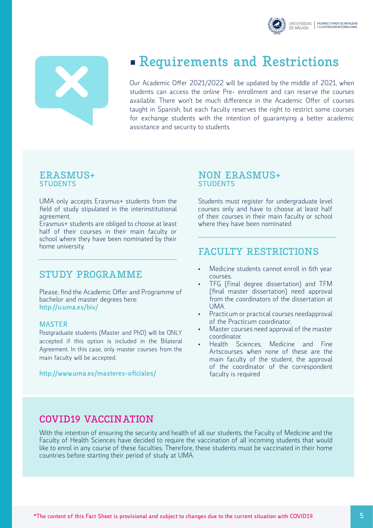



### **Requirements and Restrictions**

Our Academic Offer 2021/2022 will be updated by the middle of 2021, when students can access the online Pre- enrollment and can reserve the courses available. There won't be much difference in the Academic Offer of courses taught in Spanish, but each faculty reserves the right to restrict some courses for exchange students with the intention of guarantying a better academic assistance and security to students.

#### **ERASMUS+ STUDENTS**

UMA only accepts Erasmus+ students from the field of study stipulated in the interinstitutional agreement.

Erasmus+ students are obliged to choose at least half of their courses in their main faculty or school where they have been nominated by their home university.

#### **STUDY PROGRAMME**

Please, find the Academic Offer and Programme of bachelor and master degrees here: **http://u.uma.es/biv/**

#### **MASTER**

Postgraduate students (Master and PhD) will be ONLY accepted if this option is included in the Bilateral Agreement. In this case, only master courses from the main faculty will be accepted.

**http://www.uma.es/masteres-oficiales/**

#### **NON ERASMUS+ STUDENTS**

Students must register for undergraduate level courses only and have to choose at least half of their courses in their main faculty or school where they have been nominated

#### **FACULTY RESTRICTIONS**

- Medicine students cannot enroll in 6th year courses. • TFG (Final degree dissertation) and TFM
- (final master dissertation) need approval from the coordinators of the dissertation at UMA.
- Practicum or practical courses needapproval of the Practicum coordinator.
- Master courses need approval of the master coordinator.
- Health Sciences, Medicine and Fine Artscourses when none of these are the main faculty of the student, the approval of the coordinator of the correspondent faculty is required

#### **COVID19 VACCINATION**

With the intention of ensuring the security and health of all our students, the Faculty of Medicine and the Faculty of Health Sciences have decided to require the vaccination of all incoming students that would like to enrol in any course of these faculties. Therefore, these students must be vaccinated in their home countries before starting their period of study at UMA.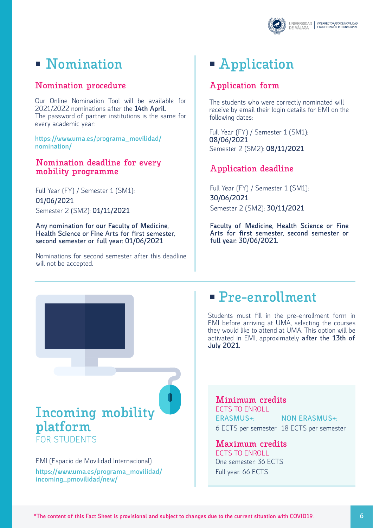

### **Nomination Application**

#### **Nomination procedure**

Our Online Nomination Tool will be available for 2021/2022 nominations after the **14th April.** The password of partner institutions is the same for every academic year:

**https://www.uma.es/programa\_movilidad/ nomination/**

#### **Nomination deadline for every mobility programme**

Full Year (FY) / Semester 1 (SM1): **01/06/2021** Semester 2 (SM2): **01/11/2021**

**Any nomination for our Faculty of Medicine, Health Science or Fine Arts for first semester, second semester or full year: 01/06/2021**

Nominations for second semester after this deadline will not be accepted.

#### **Application form**

The students who were correctly nominated will receive by email their login details for EMI on the following dates:

Full Year (FY) / Semester 1 (SM1): **08/06/2021** Semester 2 (SM2): **08/11/2021**

#### **Application deadline**

Full Year (FY) / Semester 1 (SM1): **30/06/2021** Semester 2 (SM2): **30/11/2021**

**Faculty of Medicine, Health Science or Fine Arts for first semester, second semester or full year: 30/06/2021.**

## **Pre-enrollment**

Students must fill in the pre-enrollment form in EMI before arriving at UMA, selecting the courses they would like to attend at UMA. This option will be activated in EMI, approximately **after the 13th of July 2021.** 

### **Incoming mobility platform**

FOR STUDENTS

**https://www.uma.es/programa\_movilidad/ incoming\_pmovilidad/new/** EMI (Espacio de Movilidad Internacional)

**ERASMUS+:** 6 ECTS per semester 18 ECTS per semester **NON ERASMUS+: Minimum credits** ECTS TO ENROLL

#### **Maximum credits**

One semester: 36 ECTS Full year: 66 ECTS ECTS TO ENROLL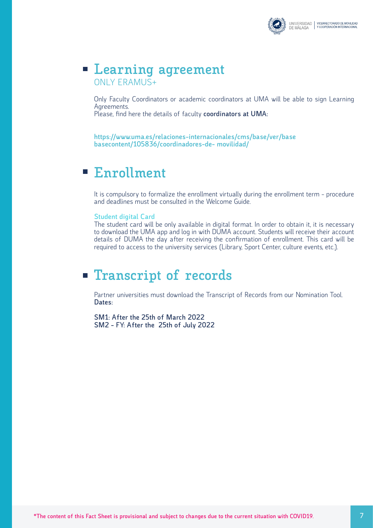

### **Learning agreement** ONLY ERAMUS+

Only Faculty Coordinators or academic coordinators at UMA will be able to sign Learning Agreements.

Please, find here the details of faculty **coordinators at UMA:**

**https://www.uma.es/relaciones-internacionales/cms/base/ver/base basecontent/105836/coordinadores-de- movilidad/**

#### **Enrollment**  $\mathcal{L}_{\mathcal{A}}$

It is compulsory to formalize the enrollment virtually during the enrollment term - procedure and deadlines must be consulted in the Welcome Guide.

#### **Student digital Card**

The student card will be only available in digital format. In order to obtain it, it is necessary to download the UMA app and log in with DUMA account. Students will receive their account details of DUMA the day after receiving the confirmation of enrollment. This card will be required to access to the university services (Library, Sport Center, culture events, etc.).

### **Transcript of records**

Partner universities must download the Transcript of Records from our Nomination Tool. **Dates:**

**SM1: After the 25th of March 2022 SM2 - FY: After the 25th of July 2022**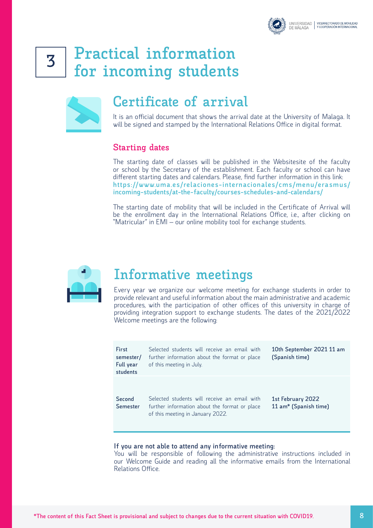

## **Practical information for incoming students <sup>3</sup>**



### **Certificate of arrival**

It is an official document that shows the arrival date at the University of Malaga. It will be signed and stamped by the International Relations Office in digital format.

#### **Starting dates**

The starting date of classes will be published in the Websitesite of the faculty or school by the Secretary of the establishment. Each faculty or school can have different starting dates and calendars. Please, find further information in this link: **https://www.uma.es/relaciones-internacionales/cms/menu/erasmus/ incoming-students/at-the-faculty/courses-schedules-and-calendars/**

The starting date of mobility that will be included in the Certificate of Arrival will be the enrollment day in the International Relations Office, i.e., after clicking on "Matricular" in EMI – our online mobility tool for exchange students.



### **Informative meetings**

Every year we organize our welcome meeting for exchange students in order to provide relevant and useful information about the main administrative and academic procedures, with the participation of other offices of this university in charge of providing integration support to exchange students. The dates of the 2021/2022 Welcome meetings are the following:

| <b>First</b><br>semester/<br>Full year<br>students | Selected students will receive an email with<br>further information about the format or place<br>of this meeting in July.         | 10th September 2021 11 am<br>(Spanish time) |
|----------------------------------------------------|-----------------------------------------------------------------------------------------------------------------------------------|---------------------------------------------|
| Second<br><b>Semester</b>                          | Selected students will receive an email with<br>further information about the format or place<br>of this meeting in January 2022. | 1st February 2022<br>11 am* (Spanish time)  |

#### **If you are not able to attend any informative meeting:**

You will be responsible of following the administrative instructions included in our Welcome Guide and reading all the informative emails from the International Relations Office.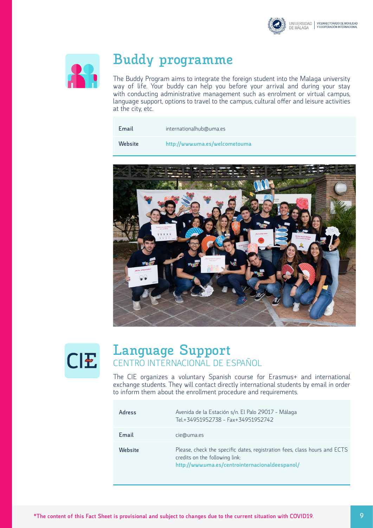



### **Buddy programme**

The Buddy Program aims to integrate the foreign student into the Malaga university way of life. Your buddy can help you before your arrival and during your stay with conducting administrative management such as enrolment or virtual campus, language support, options to travel to the campus, cultural offer and leisure activities at the city, etc.

 **Website**

**http://www.uma.es/welcometouma**





### **Language Support** CENTRO INTERNACIONAL DE ESPAÑOL

The CIE organizes a voluntary Spanish course for Erasmus+ and international exchange students. They will contact directly international students by email in order to inform them about the enrollment procedure and requirements.

| Adress  | Avenida de la Estación s/n. El Palo 29017 - Málaga<br>Tel.+34951952738 - Fax+34951952742                                                                       |
|---------|----------------------------------------------------------------------------------------------------------------------------------------------------------------|
| Email   | cie@uma.es                                                                                                                                                     |
| Website | Please, check the specific dates, registration fees, class hours and ECTS<br>credits on the following link:<br>http://www.uma.es/centrointernacionaldeespanol/ |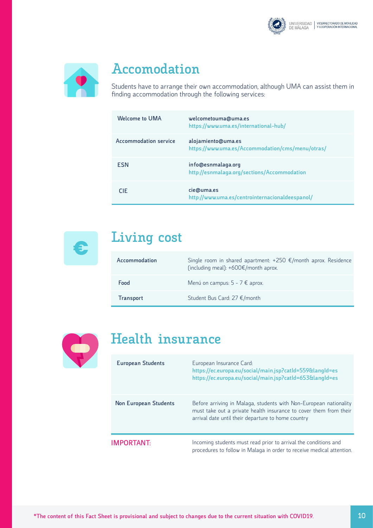



### **Accomodation**

Students have to arrange their own accommodation, although UMA can assist them in finding accommodation through the following services:

| Welcome to UMA        | welcometouma@uma.es<br>https://www.uma.es/international-hub/           |
|-----------------------|------------------------------------------------------------------------|
| Accommodation service | alojamiento@uma.es<br>https://www.uma.es/Accommodation/cms/menu/otras/ |
| <b>FSN</b>            | info@esnmalaga.org<br>http://esnmalaga.org/sections/Accommodation      |
| <b>CIE</b>            | cie@uma.es<br>http://www.uma.es/centrointernacionaldeespanol/          |



# **Living cost €**

| Accommodation    | Single room in shared apartment: $+250 \text{ €/month}$ aprox. Residence<br>(including meal): +600€/month aprox. |
|------------------|------------------------------------------------------------------------------------------------------------------|
| Food             | Menú on campus: $5 - 7 \notin$ aprox.                                                                            |
| <b>Transport</b> | Student Bus Card: 27 €/month                                                                                     |



### **Health insurance**

| <b>European Students</b> | European Insurance Card:<br>https://ec.europa.eu/social/main.jsp?catId=559&langId=es<br>https://ec.europa.eu/social/main.jsp?catId=653&langId=es                                             |
|--------------------------|----------------------------------------------------------------------------------------------------------------------------------------------------------------------------------------------|
| Non European Students    | Before arriving in Malaga, students with Non-European nationality<br>must take out a private health insurance to cover them from their<br>arrival date until their departure to home country |
| <b>IMPORTANT:</b>        | Incoming students must read prior to arrival the conditions and<br>procedures to follow in Malaga in order to receive medical attention.                                                     |